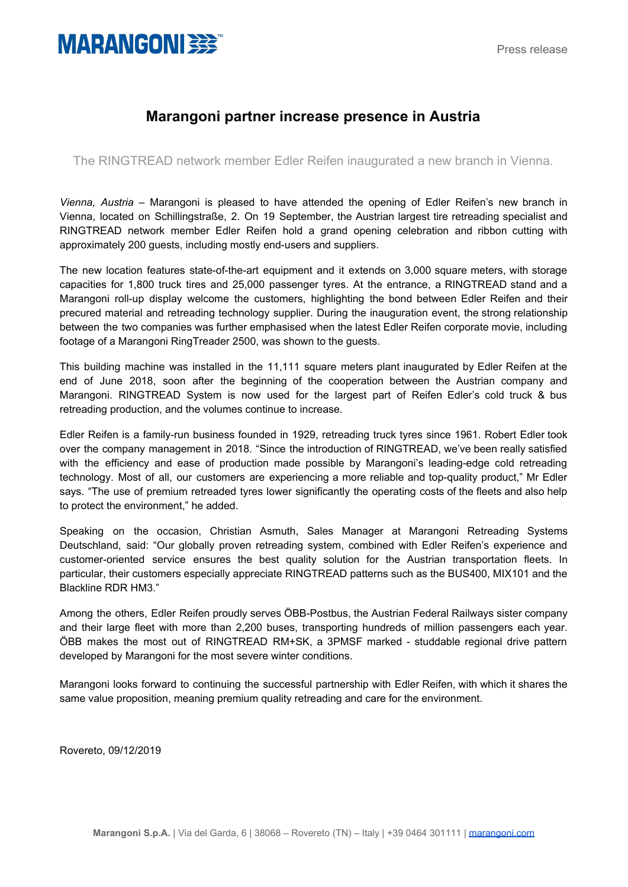## **MARANGONI BEE**

## **Marangoni partner increase presence in Austria**

The RINGTREAD network member Edler Reifen inaugurated a new branch in Vienna.

*Vienna, Austria –* Marangoni is pleased to have attended the opening of Edler Reifen's new branch in Vienna, located on Schillingstraße, 2. On 19 September, the Austrian largest tire retreading specialist and RINGTREAD network member Edler Reifen hold a grand opening celebration and ribbon cutting with approximately 200 guests, including mostly end-users and suppliers.

The new location features state-of-the-art equipment and it extends on 3,000 square meters, with storage capacities for 1,800 truck tires and 25,000 passenger tyres. At the entrance, a RINGTREAD stand and a Marangoni roll-up display welcome the customers, highlighting the bond between Edler Reifen and their precured material and retreading technology supplier. During the inauguration event, the strong relationship between the two companies was further emphasised when the latest Edler Reifen corporate movie, including footage of a Marangoni RingTreader 2500, was shown to the guests.

This building machine was installed in the 11,111 square meters plant inaugurated by Edler Reifen at the end of June 2018, soon after the beginning of the cooperation between the Austrian company and Marangoni. RINGTREAD System is now used for the largest part of Reifen Edler's cold truck & bus retreading production, and the volumes continue to increase.

Edler Reifen is a family-run business founded in 1929, retreading truck tyres since 1961. Robert Edler took over the company management in 2018. "Since the introduction of RINGTREAD, we've been really satisfied with the efficiency and ease of production made possible by Marangoni's leading-edge cold retreading technology. Most of all, our customers are experiencing a more reliable and top-quality product," Mr Edler says. "The use of premium retreaded tyres lower significantly the operating costs of the fleets and also help to protect the environment," he added.

Speaking on the occasion, Christian Asmuth, Sales Manager at Marangoni Retreading Systems Deutschland, said: "Our globally proven retreading system, combined with Edler Reifen's experience and customer-oriented service ensures the best quality solution for the Austrian transportation fleets. In particular, their customers especially appreciate RINGTREAD patterns such as the BUS400, MIX101 and the Blackline RDR HM3."

Among the others, Edler Reifen proudly serves ÖBB-Postbus, the Austrian Federal Railways sister company and their large fleet with more than 2,200 buses, transporting hundreds of million passengers each year. ÖBB makes the most out of RINGTREAD RM+SK, a 3PMSF marked - studdable regional drive pattern developed by Marangoni for the most severe winter conditions.

Marangoni looks forward to continuing the successful partnership with Edler Reifen, with which it shares the same value proposition, meaning premium quality retreading and care for the environment.

Rovereto, 09/12/2019